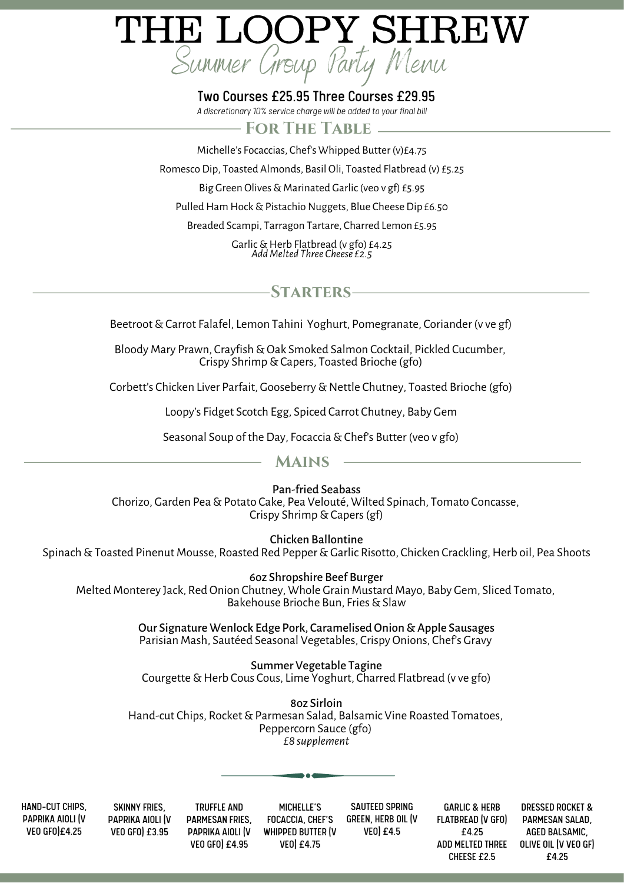# THE LOOPY SHREW Summer Group Party Menu

#### Two Courses £25.95 Three Courses £29.95

*A discretionary10% service charge will be added to your final bill*

#### **For The Table**

Michelle's Focaccias, Chef's Whipped Butter (v)£4.75 Romesco Dip, Toasted Almonds, Basil Oli, Toasted Flatbread (v) £5.25 Big Green Olives & Marinated Garlic (veo v gf) £5.95 Pulled Ham Hock & Pistachio Nuggets, Blue Cheese Dip £6.50

Breaded Scampi, Tarragon Tartare, Charred Lemon £5.95

Garlic&Herb Flatbread (v gfo) £4.25 *AddMelted Three Cheese £2.5*

### **Starters**

Beetroot&Carrot Falafel, Lemon Tahini Yoghurt, Pomegranate, Coriander (v ve gf)

Bloody Mary Prawn, Crayfish & Oak Smoked Salmon Cocktail, Pickled Cucumber, Crispy Shrimp&Capers, Toasted Brioche (gfo)

Corbett's Chicken Liver Parfait, Gooseberry&Nettle Chutney, Toasted Brioche (gfo)

Loopy's Fidget Scotch Egg, Spiced Carrot Chutney, Baby Gem

Seasonal Soup of the Day, Focaccia & Chef's Butter (veo v gfo)

#### **Mains**

Pan-fried Seabass

Chorizo, Garden Pea&Potato Cake, Pea Velouté, Wilted Spinach, Tomato Concasse, Crispy Shrimp&Capers(gf)

Chicken Ballontine

Spinach & Toasted Pinenut Mousse, Roasted Red Pepper & Garlic Risotto, Chicken Crackling, Herb oil, Pea Shoots

6oz Shropshire Beef Burger Melted Monterey Jack, Red Onion Chutney, Whole Grain Mustard Mayo, Baby Gem, Sliced Tomato, Bakehouse Brioche Bun, Fries & Slaw

> Our Signature Wenlock Edge Pork, Caramelised Onion & Apple Sausages Parisian Mash, Sautéed Seasonal Vegetables, Crispy Onions, Chef's Gravy

Summer Vegetable Tagine Courgette & Herb Cous Cous, Lime Yoghurt, Charred Flatbread (v ve gfo)

8oz Sirloin Hand-cut Chips, Rocket & Parmesan Salad, Balsamic Vine Roasted Tomatoes, Peppercorn Sauce (gfo) *£8 supplement*

HAND-CUT CHIPS, PAPRIKA AIOLI (V VEO GFO)£4.25

SKINNY FRIES, PAPRIKA AIOLI (V VEO GFO) £3.95

TRUFFLE AND PARMESAN FRIES, PAPRIKA AIOLI (V VEO GFO) £4.95 MICHELLE'S FOCACCIA, CHEF'S WHIPPED BUTTER (V VEO) £4.75

SAUTEED SPRING GREEN, HERB OIL (V VEO) £4.5

GARLIC & HERB FLATBREAD (V GFO) £4.25 CHEESE £2.5

ADD MELTED THREE OLIVE OIL (V VEO GF) DRESSED ROCKET & PARMESAN SALAD, AGED BALSAMIC, £4.25